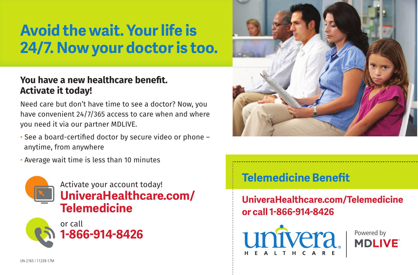# **Avoid the wait. Your life is 24/7. Now your doctor is too.**

#### **You have a new healthcare benefit. Activate it today!**

Need care but don't have time to see a doctor? Now, you have convenient 24/7/365 access to care when and where you need it via our partner MDLIVE.

- See a board-certified doctor by secure video or phone anytime, from anywhere
- Average wait time is less than 10 minutes







## **Telemedicine Benefit**

**UniveraHealthcare.com/Telemedicine or call 1-866-914-8426**